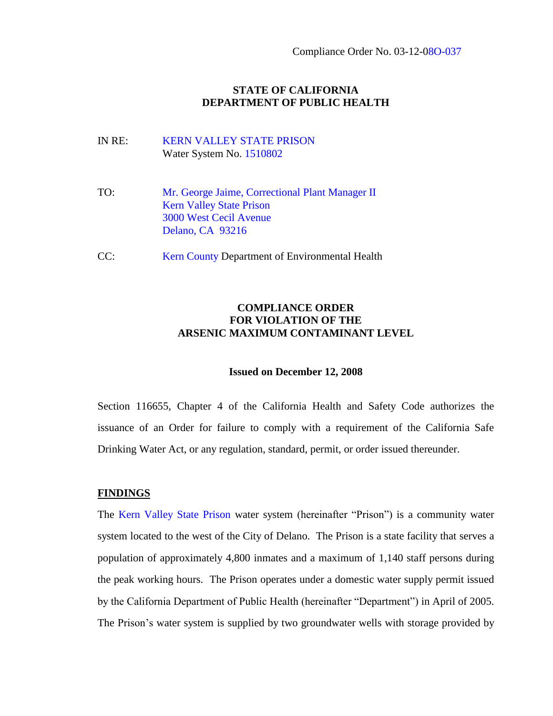# **STATE OF CALIFORNIA DEPARTMENT OF PUBLIC HEALTH**

- IN RE: KERN VALLEY STATE PRISON Water System No. 1510802
- TO: Mr. George Jaime, Correctional Plant Manager II Kern Valley State Prison 3000 West Cecil Avenue Delano, CA 93216
- CC: Kern County Department of Environmental Health

# **COMPLIANCE ORDER FOR VIOLATION OF THE ARSENIC MAXIMUM CONTAMINANT LEVEL**

#### **Issued on December 12, 2008**

Section 116655, Chapter 4 of the California Health and Safety Code authorizes the issuance of an Order for failure to comply with a requirement of the California Safe Drinking Water Act, or any regulation, standard, permit, or order issued thereunder.

#### **FINDINGS**

The Kern Valley State Prison water system (hereinafter "Prison") is a community water system located to the west of the City of Delano. The Prison is a state facility that serves a population of approximately 4,800 inmates and a maximum of 1,140 staff persons during the peak working hours. The Prison operates under a domestic water supply permit issued by the California Department of Public Health (hereinafter "Department") in April of 2005. The Prison's water system is supplied by two groundwater wells with storage provided by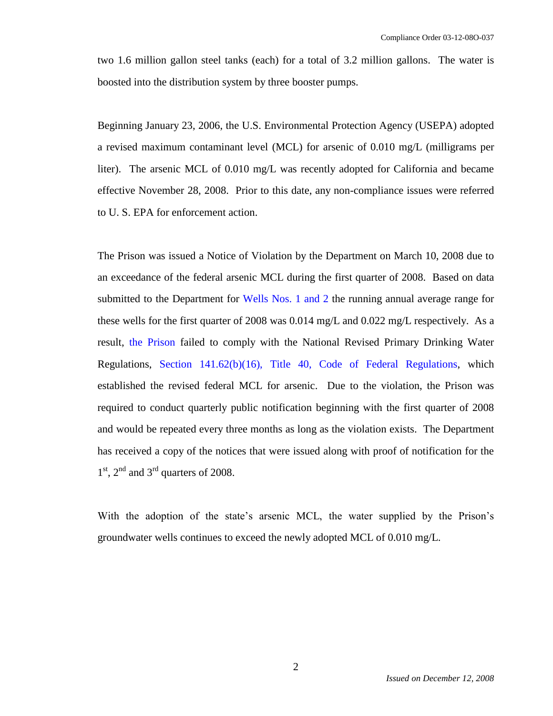two 1.6 million gallon steel tanks (each) for a total of 3.2 million gallons. The water is boosted into the distribution system by three booster pumps.

Beginning January 23, 2006, the U.S. Environmental Protection Agency (USEPA) adopted a revised maximum contaminant level (MCL) for arsenic of 0.010 mg/L (milligrams per liter). The arsenic MCL of 0.010 mg/L was recently adopted for California and became effective November 28, 2008. Prior to this date, any non-compliance issues were referred to U. S. EPA for enforcement action.

The Prison was issued a Notice of Violation by the Department on March 10, 2008 due to an exceedance of the federal arsenic MCL during the first quarter of 2008. Based on data submitted to the Department for Wells Nos. 1 and 2 the running annual average range for these wells for the first quarter of 2008 was 0.014 mg/L and 0.022 mg/L respectively. As a result, the Prison failed to comply with the National Revised Primary Drinking Water Regulations, Section 141.62(b)(16), Title 40, Code of Federal Regulations, which established the revised federal MCL for arsenic. Due to the violation, the Prison was required to conduct quarterly public notification beginning with the first quarter of 2008 and would be repeated every three months as long as the violation exists. The Department has received a copy of the notices that were issued along with proof of notification for the  $1<sup>st</sup>$ ,  $2<sup>nd</sup>$  and  $3<sup>rd</sup>$  quarters of 2008.

With the adoption of the state's arsenic MCL, the water supplied by the Prison's groundwater wells continues to exceed the newly adopted MCL of 0.010 mg/L.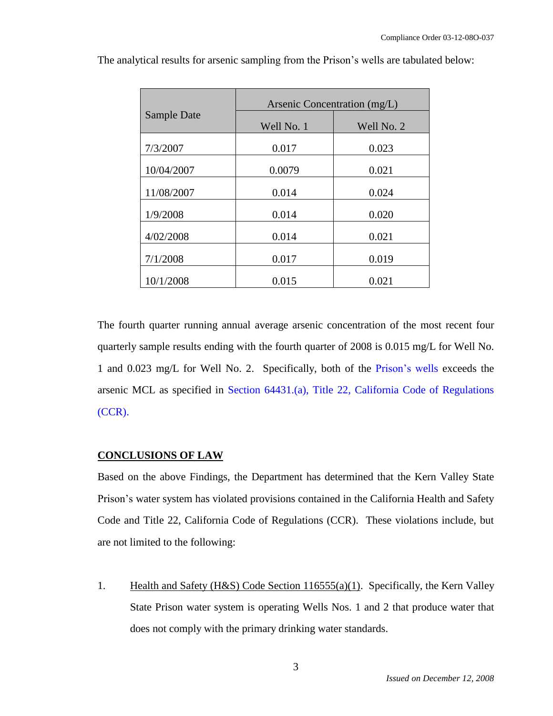|             | Arsenic Concentration (mg/L) |            |
|-------------|------------------------------|------------|
| Sample Date | Well No. 1                   | Well No. 2 |
| 7/3/2007    | 0.017                        | 0.023      |
| 10/04/2007  | 0.0079                       | 0.021      |
| 11/08/2007  | 0.014                        | 0.024      |
| 1/9/2008    | 0.014                        | 0.020      |
| 4/02/2008   | 0.014                        | 0.021      |
| 7/1/2008    | 0.017                        | 0.019      |
| 10/1/2008   | 0.015                        | 0.021      |

The analytical results for arsenic sampling from the Prison's wells are tabulated below:

The fourth quarter running annual average arsenic concentration of the most recent four quarterly sample results ending with the fourth quarter of 2008 is 0.015 mg/L for Well No. 1 and 0.023 mg/L for Well No. 2. Specifically, both of the Prison's wells exceeds the arsenic MCL as specified in Section 64431.(a), Title 22, California Code of Regulations (CCR).

# **CONCLUSIONS OF LAW**

Based on the above Findings, the Department has determined that the Kern Valley State Prison's water system has violated provisions contained in the California Health and Safety Code and Title 22, California Code of Regulations (CCR). These violations include, but are not limited to the following:

1. Health and Safety (H&S) Code Section 116555(a)(1). Specifically, the Kern Valley State Prison water system is operating Wells Nos. 1 and 2 that produce water that does not comply with the primary drinking water standards.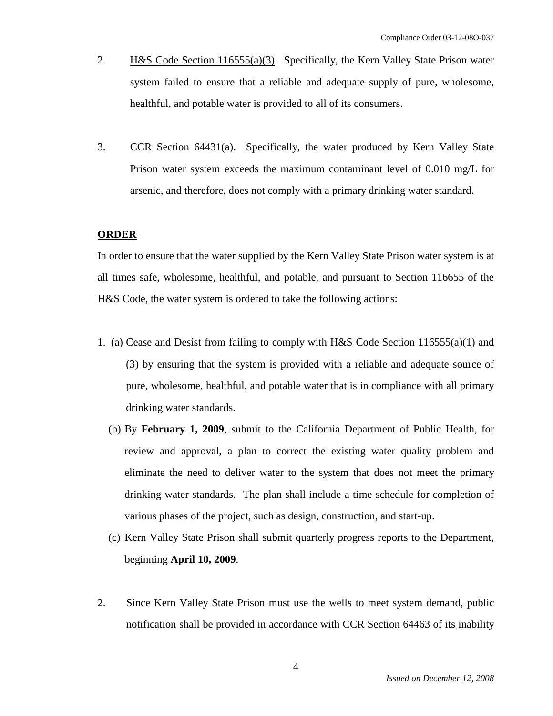- 2. H&S Code Section 116555(a)(3). Specifically, the Kern Valley State Prison water system failed to ensure that a reliable and adequate supply of pure, wholesome, healthful, and potable water is provided to all of its consumers.
- 3. CCR Section 64431(a). Specifically, the water produced by Kern Valley State Prison water system exceeds the maximum contaminant level of 0.010 mg/L for arsenic, and therefore, does not comply with a primary drinking water standard.

#### **ORDER**

In order to ensure that the water supplied by the Kern Valley State Prison water system is at all times safe, wholesome, healthful, and potable, and pursuant to Section 116655 of the H&S Code, the water system is ordered to take the following actions:

- 1. (a) Cease and Desist from failing to comply with H&S Code Section 116555(a)(1) and (3) by ensuring that the system is provided with a reliable and adequate source of pure, wholesome, healthful, and potable water that is in compliance with all primary drinking water standards.
	- (b) By **February 1, 2009**, submit to the California Department of Public Health, for review and approval, a plan to correct the existing water quality problem and eliminate the need to deliver water to the system that does not meet the primary drinking water standards. The plan shall include a time schedule for completion of various phases of the project, such as design, construction, and start-up.
	- (c) Kern Valley State Prison shall submit quarterly progress reports to the Department, beginning **April 10, 2009**.
- 2. Since Kern Valley State Prison must use the wells to meet system demand, public notification shall be provided in accordance with CCR Section 64463 of its inability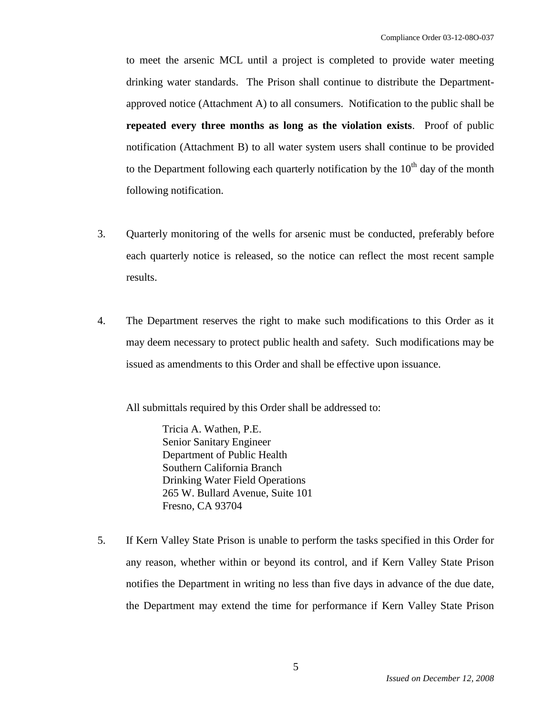to meet the arsenic MCL until a project is completed to provide water meeting drinking water standards. The Prison shall continue to distribute the Departmentapproved notice (Attachment A) to all consumers. Notification to the public shall be **repeated every three months as long as the violation exists**. Proof of public notification (Attachment B) to all water system users shall continue to be provided to the Department following each quarterly notification by the  $10<sup>th</sup>$  day of the month following notification.

- 3. Quarterly monitoring of the wells for arsenic must be conducted, preferably before each quarterly notice is released, so the notice can reflect the most recent sample results.
- 4. The Department reserves the right to make such modifications to this Order as it may deem necessary to protect public health and safety. Such modifications may be issued as amendments to this Order and shall be effective upon issuance.

All submittals required by this Order shall be addressed to:

Tricia A. Wathen, P.E. Senior Sanitary Engineer Department of Public Health Southern California Branch Drinking Water Field Operations 265 W. Bullard Avenue, Suite 101 Fresno, CA 93704

5. If Kern Valley State Prison is unable to perform the tasks specified in this Order for any reason, whether within or beyond its control, and if Kern Valley State Prison notifies the Department in writing no less than five days in advance of the due date, the Department may extend the time for performance if Kern Valley State Prison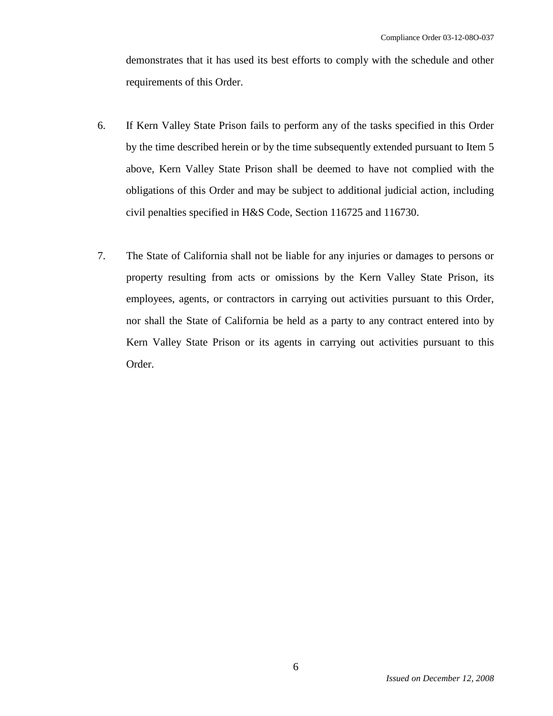demonstrates that it has used its best efforts to comply with the schedule and other requirements of this Order.

- 6. If Kern Valley State Prison fails to perform any of the tasks specified in this Order by the time described herein or by the time subsequently extended pursuant to Item 5 above, Kern Valley State Prison shall be deemed to have not complied with the obligations of this Order and may be subject to additional judicial action, including civil penalties specified in H&S Code, Section 116725 and 116730.
- 7. The State of California shall not be liable for any injuries or damages to persons or property resulting from acts or omissions by the Kern Valley State Prison, its employees, agents, or contractors in carrying out activities pursuant to this Order, nor shall the State of California be held as a party to any contract entered into by Kern Valley State Prison or its agents in carrying out activities pursuant to this Order.